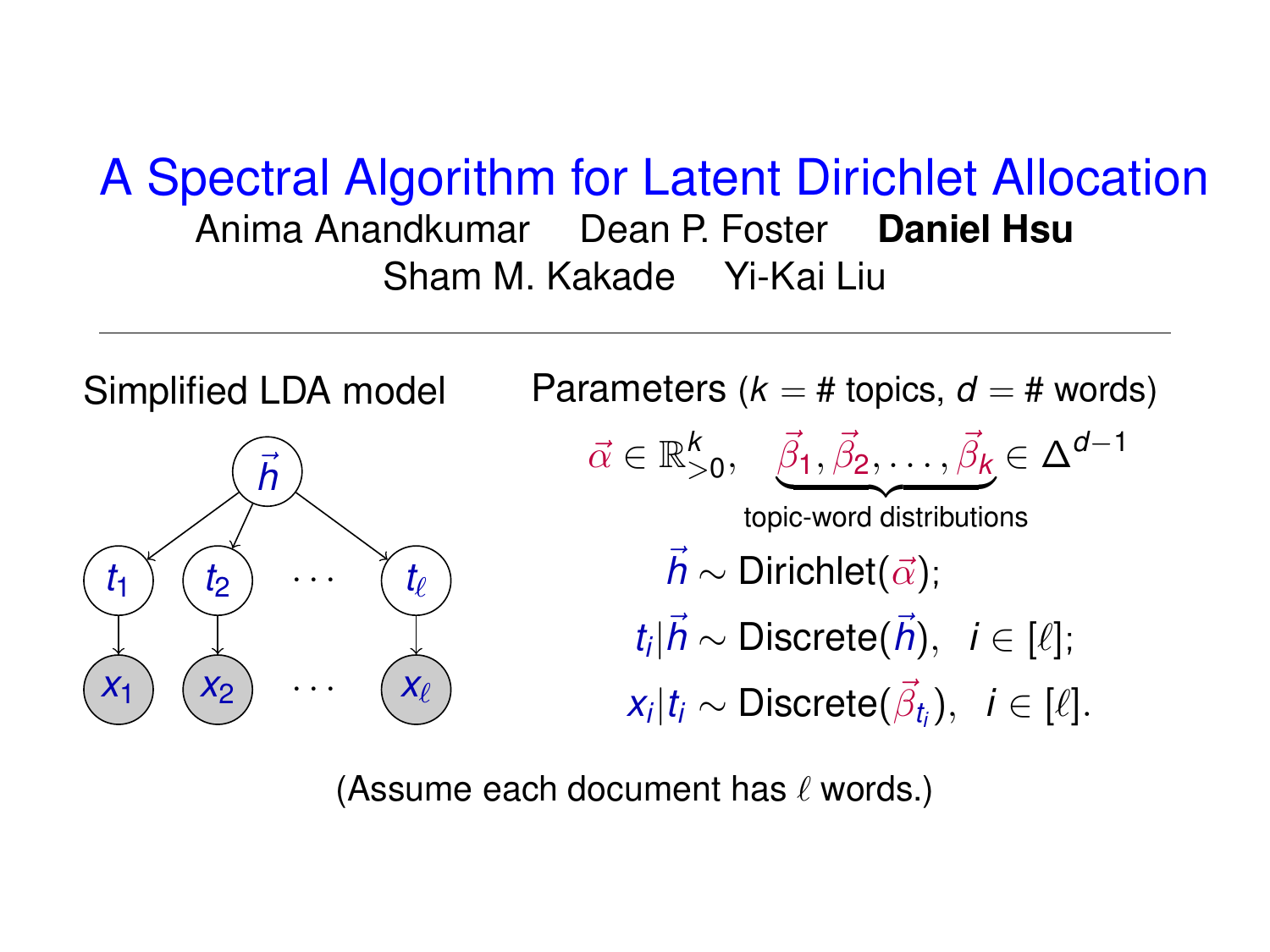### A Spectral Algorithm for Latent Dirichlet Allocation Anima Anandkumar Dean P. Foster **Daniel Hsu** Sham M. Kakade Yi-Kai Liu



(Assume each document has  $\ell$  words.)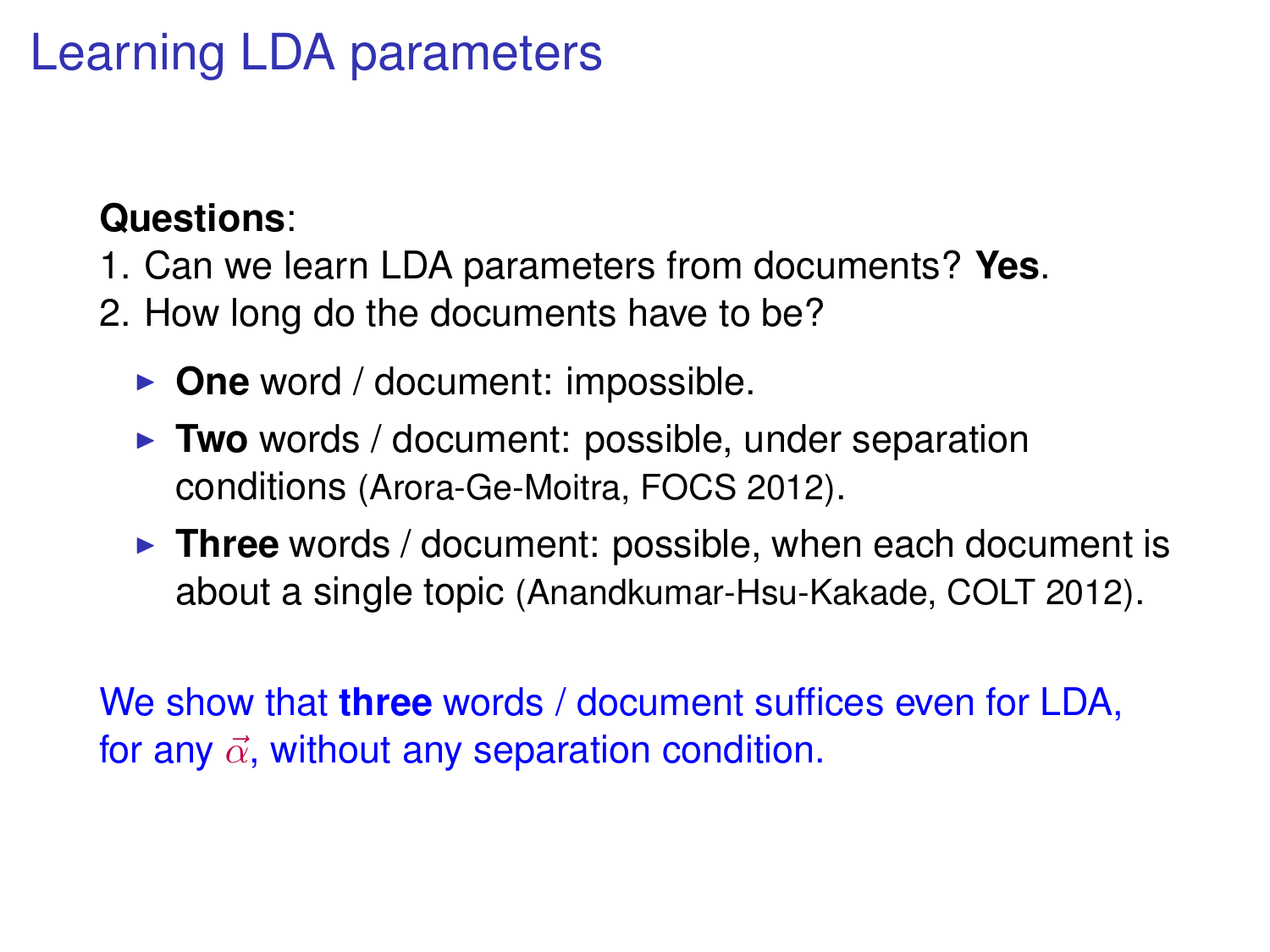## Learning LDA parameters

#### **Questions**:

- 1. Can we learn LDA parameters from documents? **Yes**.
- 2. How long do the documents have to be?
	- **One** word / document: impossible.
	- **Two** words / document: possible, under separation conditions (Arora-Ge-Moitra, FOCS 2012).
	- **Three** words / document: possible, when each document is about a single topic (Anandkumar-Hsu-Kakade, COLT 2012).

We show that **three** words / document suffices even for LDA, for any  $\vec{\alpha}$ , without any separation condition.